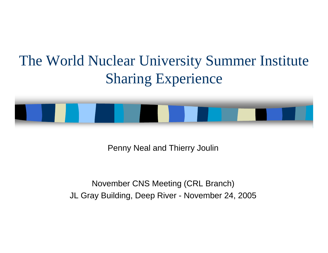### The World Nuclear University Summer Institute Sharing Experience



Penny Neal and Thierry Joulin

November CNS Meeting (CRL Branch) JL Gray Building, Deep River - November 24, 2005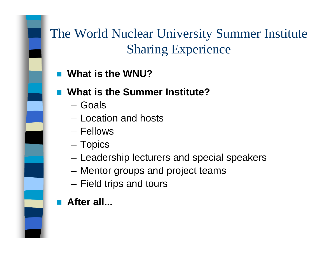

- **What is the WNU?**
- **What is the Summer Institute?**
	- Goals
	- Location and hosts
	- Fellows
	- **Links of the Common** Topics
	- and the state of the Leadership lecturers and special speakers
	- –Mentor groups and project teams
	- and the state of the Field trips and tours
- **After all...**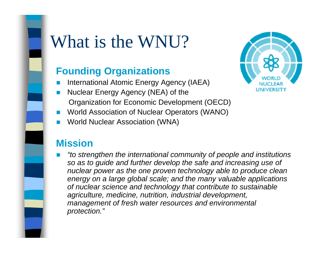# What is the WNU?

#### **Founding Organizations**

- !International Atomic Energy Agency (IAEA)
- Nuclear Energy Agency (NEA) of the Organization for Economic Development (OECD)
- !World Association of Nuclear Operators (WANO)
- !World Nuclear Association (WNA)

#### **Mission**

! *"to strengthen the international community of people and institutions so as to guide and further develop the safe and increasing use of nuclear power as the one proven technology able to produce clean energy on a large global scale; and the many valuable applications of nuclear science and technology that contribute to sustainable agriculture, medicine, nutrition, industrial development, management of fresh water resources and environmental protection."*

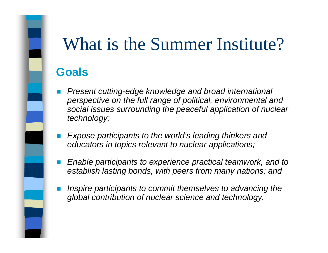#### **Goals**

- ! *Present cutting-edge knowledge and broad international perspective on the full range of political, environmental and social issues surrounding the peaceful application of nuclear technology;*
- ! *Expose participants to the world's leading thinkers and educators in topics relevant to nuclear applications;*
- ! *Enable participants to experience practical teamwork, and to establish lasting bonds, with peers from many nations; and*
- ! *Inspire participants to commit themselves to advancing the global contribution of nuclear science and technology.*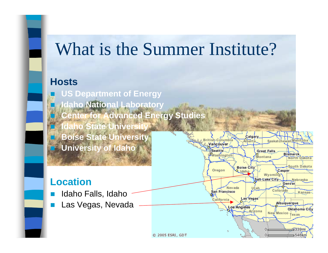#### **Hosts**

 **US Department of Energy Idaho National Laboratory Center for Advanced Energy Studies Idaho State Univers Boise State University** Vancouver **University of Idaho**

#### **Location**

- !Idaho Falls, Idaho
- Las Vegas, Nevada

Calgary

**Boise City** 

Las Vegas

Arízona

Nevada

Los Angeles

Washington

Oregon

San Francisco

California

Sask

Wyoming Salt-Lake City

**Bismarck** 

Casper

Colorado

Denver

Albuquerque

New Mexico Texas

North Dakota

South Dakota

Nebrask

Oklahoma City

339m  $-546km$ 

Kansas

**Great Falls** 

Montana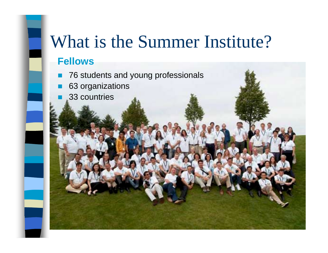#### **Fellows**

- 76 students and young professionals
- 63 organizations
- !33 countries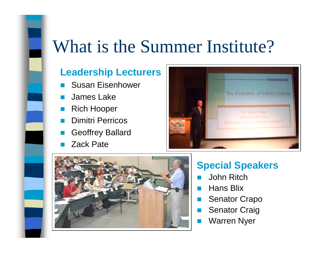#### **Leadership Lecturers**

- Susan Eisenhower
- !James Lake
- Rich Hooper
- !Dimitri Perricos
- !Geoffrey Ballard
- Zack Pate





#### **Special Speakers**

- John Ritch
- Hans Blix
- Senator Crapo
- !Senator Craig
- !Warren Nyer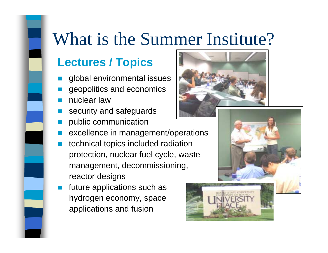#### **Lectures / Topics**

- !global environmental issues
- !geopolitics and economics
- nuclear law
- security and safeguards
- public communication
- !excellence in management/operations
- ! technical topics included radiation protection, nuclear fuel cycle, waste management, decommissioning, reactor designs
- future applications such as hydrogen economy, space applications and fusion





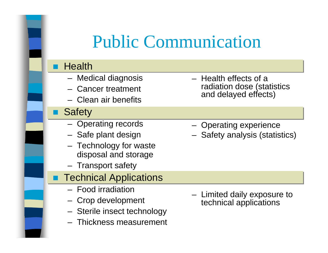## Public Communication

#### **Health**

- Medical diagnosis
- Cancer treatment
- Clean air benefits

#### **Safety**

- Operating records
- Safe plant design
- Technology for waste disposal and storage
- Transport safety
- Technical Applications
	- Food irradiation
	- Crop development
	- Sterile insect technology
	- Thickness measurement
- Health effects of a radiation dose (statistics and delayed effects)
- Operating experience
- Safety analysis (statistics)

 Limited daily exposure to technical applications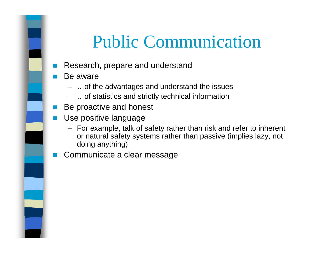### Public Communication

- Research, prepare and understand
- Be aware
	- …of the advantages and understand the issues
	- …of statistics and strictly technical information
- **Be proactive and honest**
- ! Use positive language
	- For example, talk of safety rather than risk and refer to inherent or natural safety systems rather than passive (implies lazy, not doing anything)
- Communicate a clear message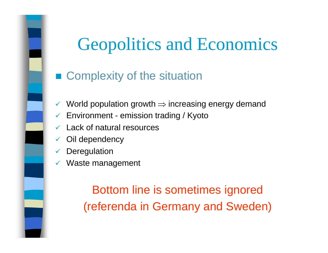# Geopolitics and Economics

### **E** Complexity of the situation

- $\checkmark$  $\checkmark$  World population growth  $\Rightarrow$  increasing energy demand
- $\checkmark$ Environment - emission trading / Kyoto
- $\checkmark$ Lack of natural resources
- $\checkmark$ Oil dependency
- $\checkmark$ **Deregulation**
- $\checkmark$ Waste management

Bottom line is sometimes ignored (referenda in Germany and Sweden)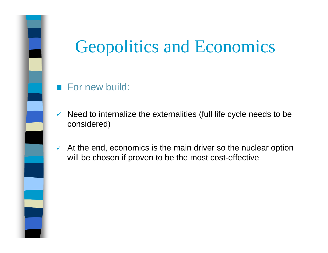## Geopolitics and Economics

#### **E** For new build:

- $\checkmark$  Need to internalize the externalities (full life cycle needs to be considered)
- $\checkmark$  At the end, economics is the main driver so the nuclear option will be chosen if proven to be the most cost-effective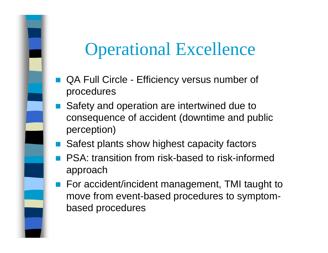### Operational Excellence

- *DESCRIPTION AND PROPERTY ARRANGEMENT*  QA Full Circle - Efficiency versus number of procedures
- ! Safety and operation are intertwined due to consequence of accident (downtime and public perception)
- Safest plants show highest capacity factors
- **PSA: transition from risk-based to risk-informed** approach
- For accident/incident management, TMI taught to move from event-based procedures to symptombased procedures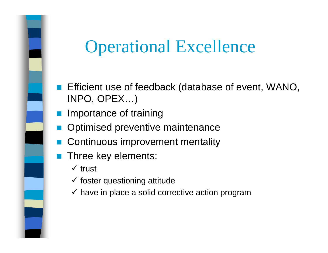### Operational Excellence

- Efficient use of feedback (database of event, WANO, INPO, OPEX…)
- Importance of training
- Optimised preventive maintenance
- Continuous improvement mentality
- Three key elements:
	- $\times$  trust
	- $\checkmark$  foster questioning attitude
	- $\checkmark$  have in place a solid corrective action program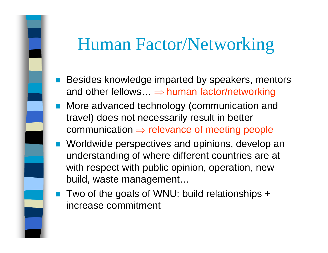### Human Factor/Networking

- *DESCRIPTION AND PROPERTY ARRANGEMENT*  Besides knowledge imparted by speakers, mentors and other fellows…  $\Rightarrow$  human factor/networking
- **I** More advanced technology (communication and travel) does not necessarily result in better communication  $\Rightarrow$  relevance of meeting people
- Worldwide perspectives and opinions, develop an understanding of where different countries are at with respect with public opinion, operation, new build, waste management…
- Two of the goals of WNU: build relationships + increase commitment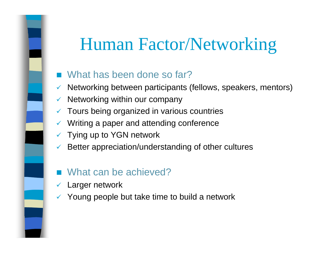## Human Factor/Networking

- What has been done so far?
- $\checkmark$ Networking between participants (fellows, speakers, mentors)
- $\checkmark$ Networking within our company
- $\checkmark$  Tours being organized in various countries
- $\checkmark$  Writing a paper and attending conference
- $\checkmark$  Tying up to YGN network
- $\checkmark$ Better appreciation/understanding of other cultures
- What can be achieved?
- $\checkmark$ Larger network
- $\checkmark$  Young people but take time to build a network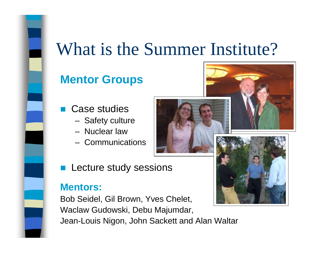#### **Mentor Groups**

- *DESCRIPTION AND PROPERTY ARRANGEMENT*  Case studies
	- Safety culture
	- Nuclear law
	- Communications



**E** Lecture study sessions

#### **Mentors:**

Bob Seidel, Gil Brown, Yves Chelet, Waclaw Gudowski, Debu Majumdar, Jean-Louis Nigon, John Sackett and Alan Waltar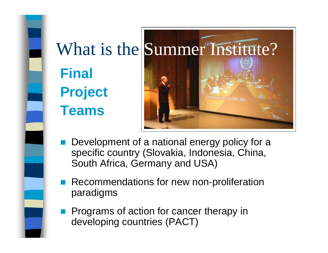



- Development of a national energy policy for a specific country (Slovakia, Indonesia, China, South Africa, Germany and USA)
- *DESCRIPTION AND PROPERTY ARRANGEMENT*  Recommendations for new non-proliferation paradigms
- **1980**  Programs of action for cancer therapy in developing countries (PACT)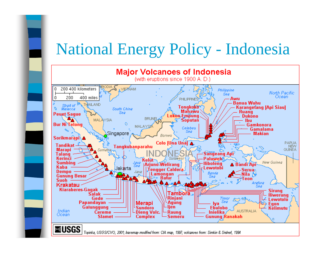### National Energy Policy - Indonesia

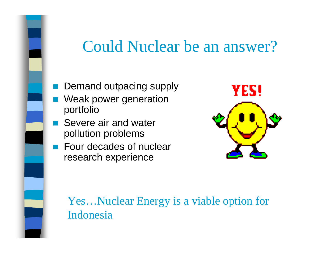### Could Nuclear be an answer?

- Demand outpacing supply
- !!<br>!!<br>!! Weak power generation portfolio
- **B.** Severe air and water pollution problems
- **Example Four decades of nuclear** research experience



Yes…Nuclear Energy is a viable option for Indonesia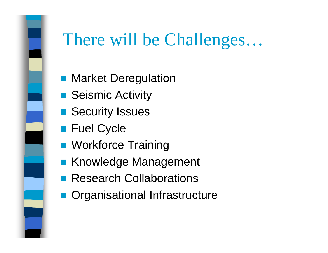

## There will be Challenges…

- Market Deregulation
- **B.** Seismic Activity
- **B.** Security Issues
- **E** Fuel Cycle
- **Norkforce Training**
- **E Knowledge Management**
- **Research Collaborations**
- **n** Organisational Infrastructure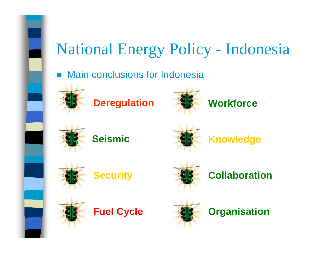# National Energy Policy - Indonesia

Main conclusions for Indonesia



**Deregulation**











**Knowledge**







**Collaboration**







**Organisation**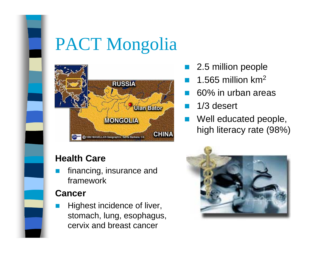

#### **Health Care**

 financing, insurance and framework

#### **Cancer**

**.**  Highest incidence of liver, stomach, lung, esophagus, cervix and breast cancer

- 2.5 million people
- $\blacksquare$  1.565 million km<sup>2</sup>
- ! 60% in urban areas
	- 1/3 desert
- Well educated people, high literacy rate (98%)

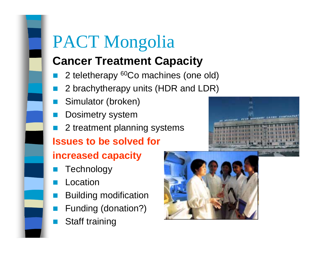### **Cancer Treatment Capacity**

- 2 teletherapy 60Co machines (one old)
- 2 brachytherapy units (HDR and LDR)
- Simulator (broken)
- !Dosimetry system
- !2 treatment planning systems

#### **Issues to be solved for**

#### **increased capacity**

- **Technology**
- Location
- Building modification
- Funding (donation?)
- !Staff training



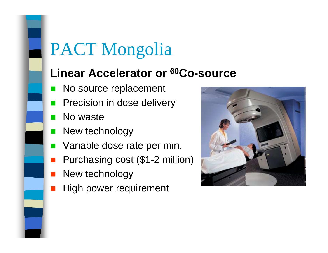#### **Linear Accelerator or 60Co-source**

- **No source replacement**
- **.** Precision in dose delivery
- No waste
- **New technology**
- **Numbrandial Variable dose rate per min.**
- **.** Purchasing cost (\$1-2 million)
- New technology
- !!<br>!! High power requirement

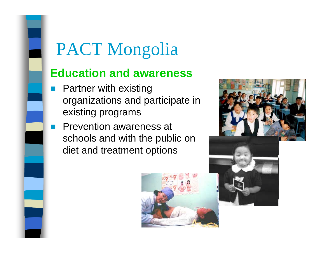#### **Education and awareness**

- **E** Partner with existing organizations and participate in existing programs
- **Prevention awareness at Prevention awareness at** schools and with the public on diet and treatment options



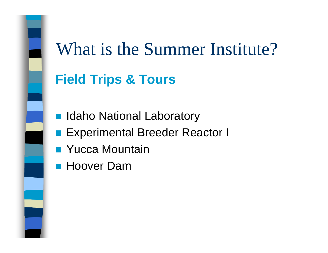### **Field Trips & Tours**

- Idaho National Laboratory
- **Experimental Breeder Reactor I**
- Yucca Mountain
- Hoover Dam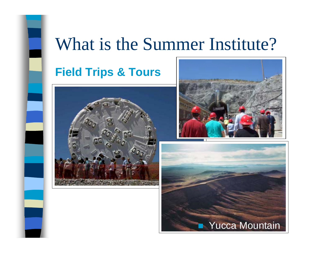

#### **Field Trips & Tours**





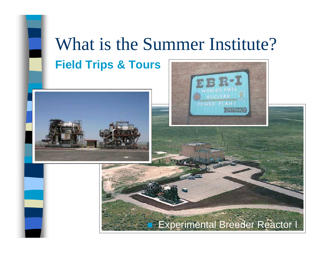# What is the Summer Institute? **Field Trips & Tours**





### Experimental Breeder Reactor I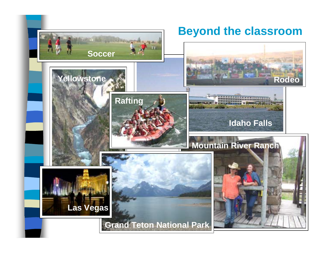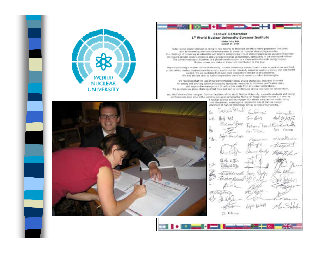



Today global energy demand is nicing to new heights as the rapid growth of world population criminities with an increasing interrustional commemora to meet the needs of developing countries. The challenge of delivering an affordable and relative energy supply to all while protecting the glubal covincitnent will require greater energy efficiency and charges in eventy consumption, pertrolerly in the developed nations. The primary recessity, however, is a global transformation to a degn and sustangelet energy supply. Nuclear power can make an important contribution to this goal.

Bayerd providing a reliable source of electricity, nuclear technology is rised in such areas as agriculture and food pretervation, medical diagnosis and treatment, environmental research, industrial guality analysis, and insect peet control. We are confident that even more applications remain to be discovered. We also see the need to further expand the use of such valuable madear technologies.

We recognize that the use of nuclear technology poses unique challenges, lecluding the need for strong and avidying safety and ascurity standards, measures to minimize protification risks. and responsible management of radicactive waste from all nuclear applications. We see these as global challenges that must and can be niet through strong international collaboration.

We, the fieldows of the trauquest Service Institute of the World Nuclear University, appeal to students and young. professionals from around the world to jobs us in carrying the Atoms-for-Peace water into the 21st century rucker science and brchnology. Our efforts must include contributing.



|     | <i><b><i><u>Fretal</u>'s Whiste</i></b></i> | health 23      | بطيلناتك         |
|-----|---------------------------------------------|----------------|------------------|
| úŁ. | 藤桂 編史                                       | $5 - 16 - 1$   | But fa Integra   |
|     | Victoria Sport                              | Tedesico Tesco | $G-LA$           |
|     | Petra Vershava                              | Corp. HISSL    | <b>RUY FREVD</b> |
|     |                                             | Kauren         | odleredlander    |
|     |                                             | Pigle          | Sternoor         |
|     | Julius Cityle                               | James Hooding  | Wille F. L.      |
|     | 近床 4.7%<br>Biodicalismi                     |                |                  |
|     |                                             |                | Not-kilohma      |
|     | Hans Blomouth Joyny<br>Et door Gilad        | Workey         | Day alen         |
|     | $\sqrt{n}$                                  |                | Ros              |
|     | R.Chegelenia                                |                |                  |
|     | - D 210                                     |                |                  |
|     | Ativ                                        |                | Justick          |
|     | Cl Denja                                    |                |                  |
|     |                                             |                |                  |